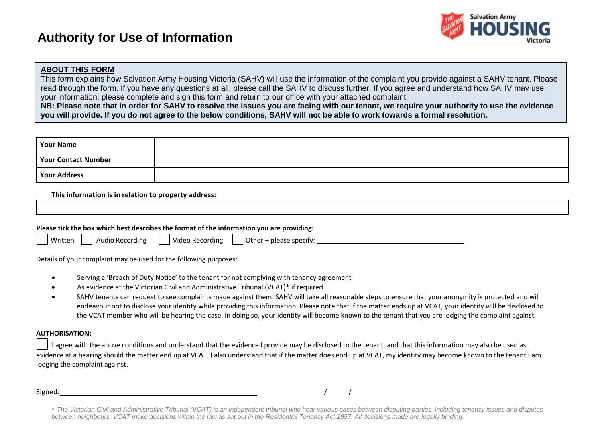# **Authority for Use of Information**



#### **ABOUT THIS FORM**

This form explains how Salvation Army Housing Victoria (SAHV) will use the information of the complaint you provide against a SAHV tenant. Please read through the form. If you have any questions at all, please call the SAHV to discuss further. If you agree and understand how SAHV may use your information, please complete and sign this form and return to our office with your attached complaint.

**NB: Please note that in order for SAHV to resolve the issues you are facing with our tenant, we require your authority to use the evidence you will provide. If you do not agree to the below conditions, SAHV will not be able to work towards a formal resolution.**

| <b>Your Name</b>           |  |
|----------------------------|--|
| <b>Your Contact Number</b> |  |
| <b>Your Address</b>        |  |

**This information is in relation to property address:**

| Please tick the box which best describes the format of the information you are providing: |  |  |  |  |  |  |  |  |
|-------------------------------------------------------------------------------------------|--|--|--|--|--|--|--|--|
| Written<br>Video Recording<br>$\vert$ Other – please specify:<br><b>Audio Recording</b>   |  |  |  |  |  |  |  |  |

Details of your complaint may be used for the following purposes:

- Serving a 'Breach of Duty Notice' to the tenant for not complying with tenancy agreement
- As evidence at the Victorian Civil and Administrative Tribunal (VCAT)\* if required
- SAHV tenants can request to see complaints made against them. SAHV will take all reasonable steps to ensure that your anonymity is protected and will endeavour not to disclose your identity while providing this information. Please note that if the matter ends up at VCAT, your identity will be disclosed to the VCAT member who will be hearing the case. In doing so, your identity will become known to the tenant that you are lodging the complaint against.

#### **AUTHORISATION:**

I agree with the above conditions and understand that the evidence I provide may be disclosed to the tenant, and that this information may also be used as evidence at a hearing should the matter end up at VCAT. I also understand that if the matter does end up at VCAT, my identity may become known to the tenant I am lodging the complaint against.

Signed: / /

*<sup>\*</sup> The Victorian Civil and Administrative Tribunal (VCAT) is an independent tribunal who hear various cases between disputing parties, including tenancy issues and disputes between neighbours. VCAT make decisions within the law as set out in the Residential Tenancy Act 1997. All decisions made are legally binding.*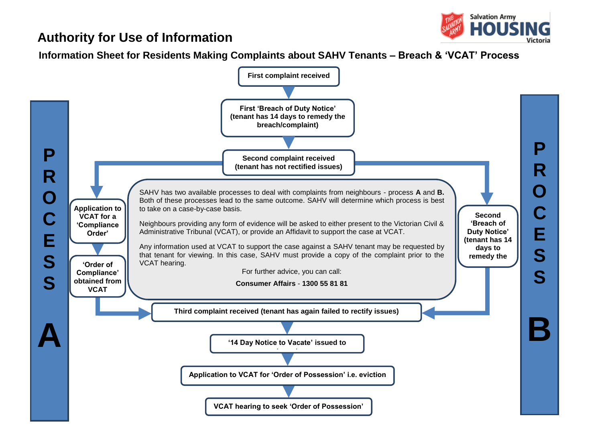## **Authority for Use of Information**



**Information Sheet for Residents Making Complaints about SAHV Tenants – Breach & 'VCAT' Process**

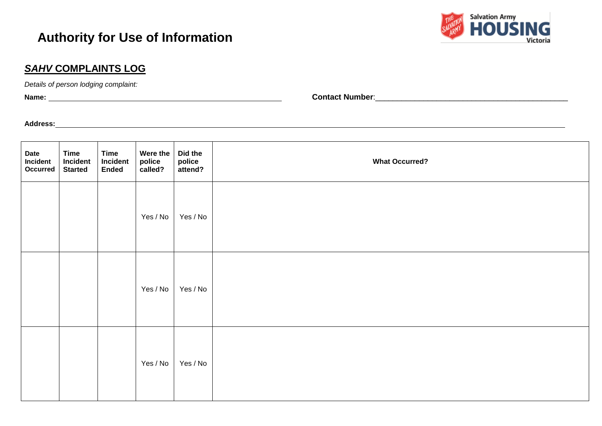## **Authority for Use of Information**



#### *SAHV* **COMPLAINTS LOG**

*Details of person lodging complaint:* 

**Name: Contact Number**:\_\_\_\_\_\_\_\_\_\_\_\_\_\_\_\_\_\_\_\_\_\_\_\_\_\_\_\_\_\_\_\_\_\_\_\_\_\_\_\_\_\_\_\_

**Property address complaints are relating to:** \ **Address:**

| Date<br>Incident<br>Occurred | <b>Time</b><br>Incident<br><b>Started</b> | <b>Time</b><br>Incident<br><b>Ended</b> | Were the<br>police<br>called? | Did the<br>police<br>attend? | <b>What Occurred?</b> |
|------------------------------|-------------------------------------------|-----------------------------------------|-------------------------------|------------------------------|-----------------------|
|                              |                                           |                                         | Yes / No                      | Yes / No                     |                       |
|                              |                                           |                                         | Yes / No                      | Yes / No                     |                       |
|                              |                                           |                                         | Yes / No                      | Yes / No                     |                       |